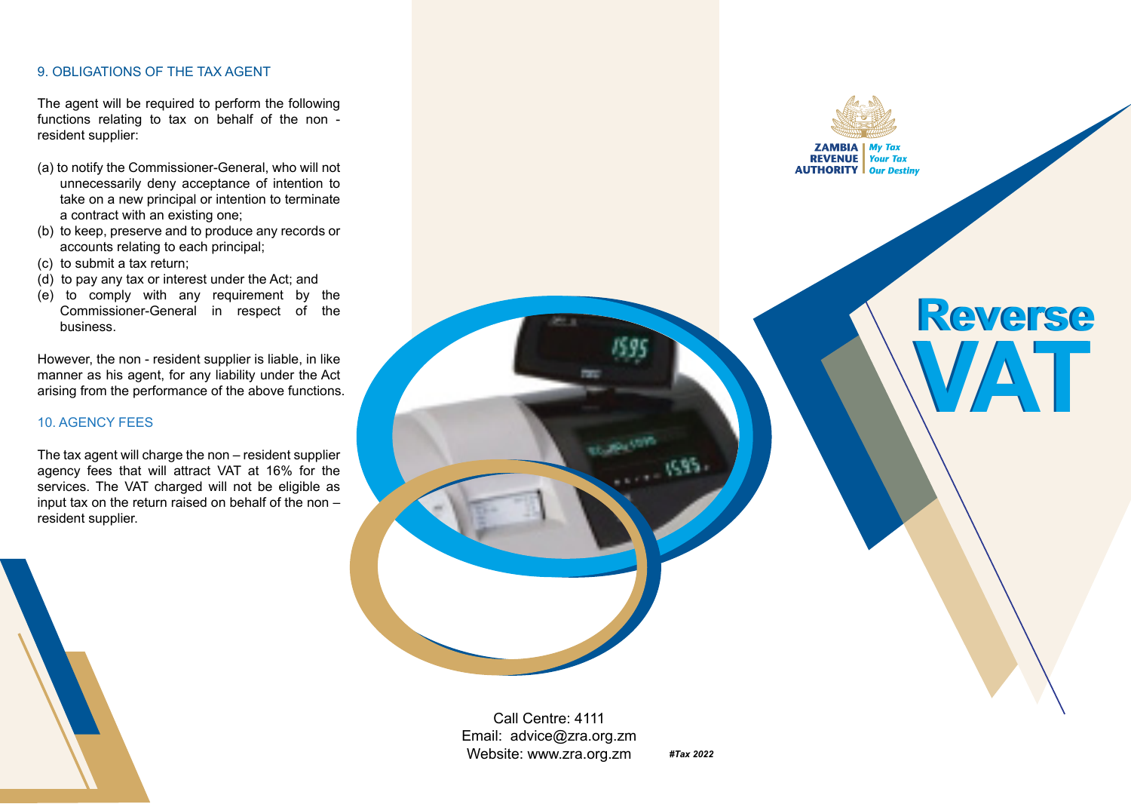### 9. OBLIGATIONS OF THE TAX AGENT

The agent will be required to perform the following functions relating to tax on behalf of the non resident supplier:

- (a) to notify the Commissioner-General, who will not unnecessarily deny acceptance of intention to take on a new principal or intention to terminate a contract with an existing one;
- (b) to keep, preserve and to produce any records or accounts relating to each principal;
- (c) to submit a tax return;
- (d) to pay any tax or interest under the Act; and
- (e) to comply with any requirement by the Commissioner-General in respect of the business.

However, the non - resident supplier is liable, in like manner as his agent, for any liability under the Act arising from the performance of the above functions.

# 10. AGENCY FEES

The tax agent will charge the non – resident supplier agency fees that will attract VAT at 16% for the services. The VAT charged will not be eligible as input tax on the return raised on behalf of the non – resident supplier.

**ZAMBIA** My Tax<br>**REVENUE** Your Tax **AUTHORITY** Our Destiny

# **Reverse Reverse VAT VAT**

Call Centre: 4111 Email: advice@zra.org.zm Website: www.zra.org.zm

*#Tax 2022*